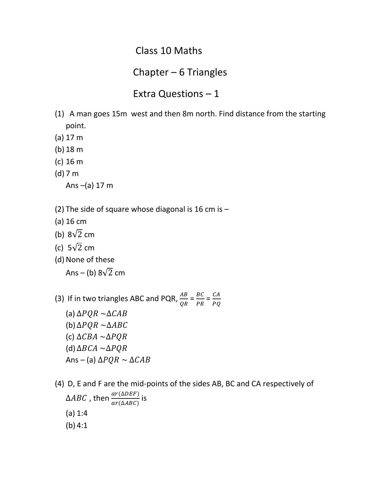## Class 10 Maths

## Chapter – 6 Triangles

## Extra Questions – 1

- (1) A man goes 15m west and then 8m north. Find distance from the starting point.
- (a) 17 m
- (b) 18 m
- (c) 16 m
- (d) 7 m

Ans $-(a)$  17 m

- (2) The side of square whose diagonal is 16 cm is  $-$
- (a) 16 cm
- (b)  $8\sqrt{2}$  cm
- (c)  $5\sqrt{2}$  cm
- (d) None of these
	- Ans (b)  $8\sqrt{2}$  cm
- (3) If in two triangles ABC and PQR,  $\frac{AB}{QR} = \frac{B}{P}$  $\frac{BC}{PR} = \frac{C}{P}$  $\boldsymbol{P}$ 
	- (a)  $\triangle PQR \sim \triangle CAB$ (b)  $\triangle PQR \sim \triangle ABC$ (c)  $\triangle CBA \sim \triangle PQR$ (d)  $\triangle BCA \sim \triangle PQR$ Ans – (a)  $\Delta PQR \sim \Delta CAB$
- (4) D, E and F are the mid-points of the sides AB, BC and CA respectively of  $\triangle ABC$  , then  $\frac{ar(\triangle DEF)}{ar(\triangle ABC)}$  is (a) 1:4 (b) 4:1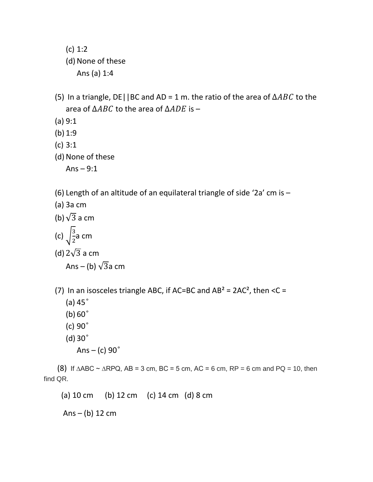- (c) 1:2 (d) None of these Ans (a) 1:4
- (5) In a triangle, DE | | BC and AD = 1 m. the ratio of the area of  $\triangle ABC$  to the area of  $\triangle ABC$  to the area of  $\triangle ADE$  is –
- (a) 9:1
- (b) 1:9
- (c) 3:1
- (d) None of these

Ans  $-9:1$ 

- (6) Length of an altitude of an equilateral triangle of side '2a' cm is –
- (a) 3a cm
- (b)  $\sqrt{3}$  a cm (c)  $\frac{3}{2}$  $\frac{5}{2}$ a cm (d)  $2\sqrt{3}$  a cm

Ans – (b)  $\sqrt{3}a$  cm

- (7) In an isosceles triangle ABC, if AC=BC and  $AB^2 = 2AC^2$ , then <C =
	- (a)  $45^\circ$
	- $(b) 60°$
	- (c)  $90^\circ$
	- $(d)$  30 $^{\circ}$ 
		- Ans (c)  $90^\circ$

(8) If  $\triangle ABC \sim \triangle RPQ$ ,  $AB = 3$  cm,  $BC = 5$  cm,  $AC = 6$  cm,  $RP = 6$  cm and  $PQ = 10$ , then find QR.

(a) 10 cm (b) 12 cm (c) 14 cm (d) 8 cm

Ans  $-$  (b) 12 cm